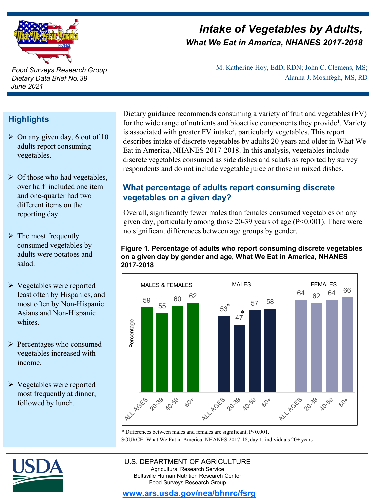

*Intake of Vegetables by Adults, What We Eat in America, NHANES 2017-2018*

> M. Katherine Hoy, EdD, RDN; John C. Clemens, MS; Alanna J. Moshfegh, MS, RD

#### *Food Surveys Research Group Dietary Data Brief No. 39 June 2021*

# **Highlights**

- $\triangleright$  On any given day, 6 out of 10 adults report consuming vegetables.
- $\triangleright$  Of those who had vegetables, over half included one item and one-quarter had two different items on the reporting day.
- $\triangleright$  The most frequently consumed vegetables by adults were potatoes and salad.
- Vegetables were reported least often by Hispanics, and most often by Non-Hispanic Asians and Non-Hispanic whites.
- $\triangleright$  Percentages who consumed vegetables increased with income.
- $\triangleright$  Vegetables were reported most frequently at dinner, followed by lunch.

Dietary guidance recommends consuming a variety of fruit and vegetables (FV) for the wide range of nutrients and bioactive components they provide<sup>1</sup>. Variety is associated with greater FV intake<sup>2</sup>, particularly vegetables. This report describes intake of discrete vegetables by adults 20 years and older in What We Eat in America, NHANES 2017-2018. In this analysis, vegetables include discrete vegetables consumed as side dishes and salads as reported by survey respondents and do not include vegetable juice or those in mixed dishes.

## **What percentage of adults report consuming discrete vegetables on a given day?**

Overall, significantly fewer males than females consumed vegetables on any given day, particularly among those  $20-39$  years of age ( $P<0.001$ ). There were no significant differences between age groups by gender.

#### **Figure 1. Percentage of adults who report consuming discrete vegetables on a given day by gender and age, What We Eat in America, NHANES 2017-2018**



SOURCE: What We Eat in America, NHANES 2017-18, day 1, individuals 20+ years \* Differences between males and females are significant, P<0.001.



#### U.S. DEPARTMENT OF AGRICULTURE Agricultural Research Service Beltsville Human Nutrition Research Center Food Surveys Research Group

### **[www.ars.usda.gov/nea/bhnrc/fsrg](http://www.ars.usda.gov/ba/bhnrc/fsrg)**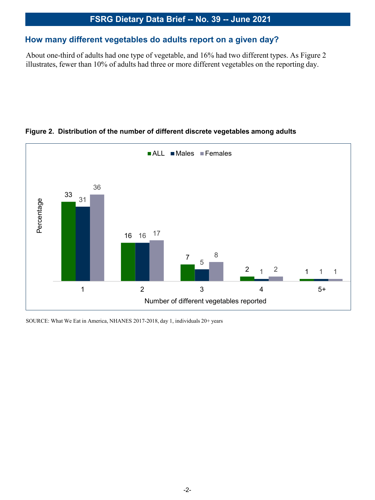#### **How many different vegetables do adults report on a given day?**

About one-third of adults had one type of vegetable, and 16% had two different types. As Figure 2 illustrates, fewer than 10% of adults had three or more different vegetables on the reporting day.



#### **Figure 2. Distribution of the number of different discrete vegetables among adults**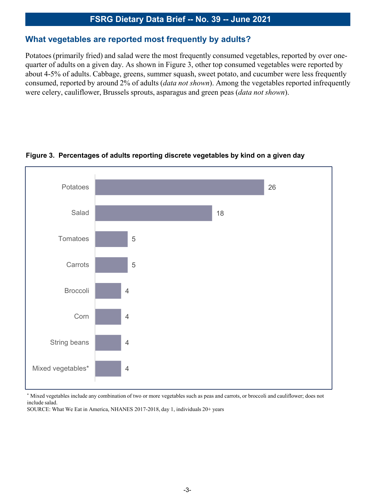#### **What vegetables are reported most frequently by adults?**

Potatoes (primarily fried) and salad were the most frequently consumed vegetables, reported by over onequarter of adults on a given day. As shown in Figure 3, other top consumed vegetables were reported by about 4-5% of adults. Cabbage, greens, summer squash, sweet potato, and cucumber were less frequently consumed, reported by around 2% of adults (*data not shown*). Among the vegetables reported infrequently were celery, cauliflower, Brussels sprouts, asparagus and green peas (*data not shown*).



#### **Figure 3. Percentages of adults reporting discrete vegetables by kind on a given day**

\* Mixed vegetables include any combination of two or more vegetables such as peas and carrots, or broccoli and cauliflower; does not include salad.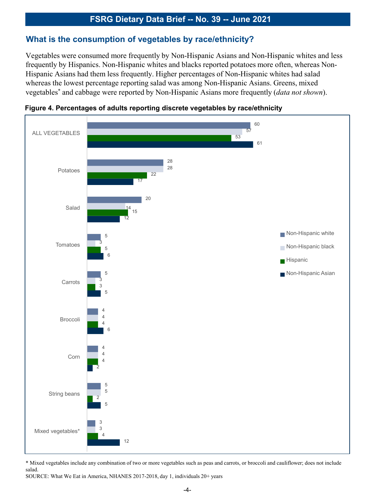#### **What is the consumption of vegetables by race/ethnicity?**

Vegetables were consumed more frequently by Non-Hispanic Asians and Non-Hispanic whites and less frequently by Hispanics. Non-Hispanic whites and blacks reported potatoes more often, whereas Non-Hispanic Asians had them less frequently. Higher percentages of Non-Hispanic whites had salad whereas the lowest percentage reporting salad was among Non-Hispanic Asians. Greens, mixed vegetables\* and cabbage were reported by Non-Hispanic Asians more frequently (*data not shown*).



**Figure 4. Percentages of adults reporting discrete vegetables by race/ethnicity**

\* Mixed vegetables include any combination of two or more vegetables such as peas and carrots, or broccoli and cauliflower; does not include salad.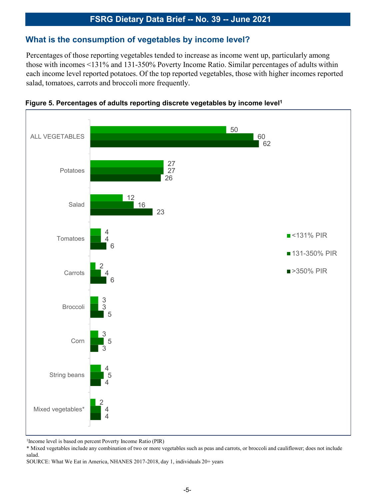### **What is the consumption of vegetables by income level?**

Percentages of those reporting vegetables tended to increase as income went up, particularly among those with incomes <131% and 131-350% Poverty Income Ratio. Similar percentages of adults within each income level reported potatoes. Of the top reported vegetables, those with higher incomes reported salad, tomatoes, carrots and broccoli more frequently.





1Income level is based on percent Poverty Income Ratio (PIR)

\* Mixed vegetables include any combination of two or more vegetables such as peas and carrots, or broccoli and cauliflower; does not include salad.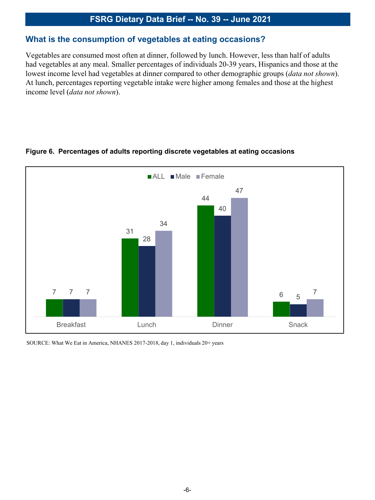#### **What is the consumption of vegetables at eating occasions?**

Vegetables are consumed most often at dinner, followed by lunch. However, less than half of adults had vegetables at any meal. Smaller percentages of individuals 20-39 years, Hispanics and those at the lowest income level had vegetables at dinner compared to other demographic groups (*data not shown*). At lunch, percentages reporting vegetable intake were higher among females and those at the highest income level (*data not shown*).



#### **Figure 6. Percentages of adults reporting discrete vegetables at eating occasions**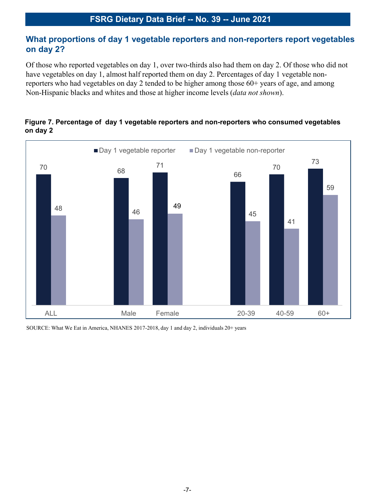### **What proportions of day 1 vegetable reporters and non-reporters report vegetables on day 2?**

Of those who reported vegetables on day 1, over two-thirds also had them on day 2. Of those who did not have vegetables on day 1, almost half reported them on day 2. Percentages of day 1 vegetable nonreporters who had vegetables on day 2 tended to be higher among those 60+ years of age, and among Non-Hispanic blacks and whites and those at higher income levels (*data not shown*).



#### **Figure 7. Percentage of day 1 vegetable reporters and non-reporters who consumed vegetables on day 2**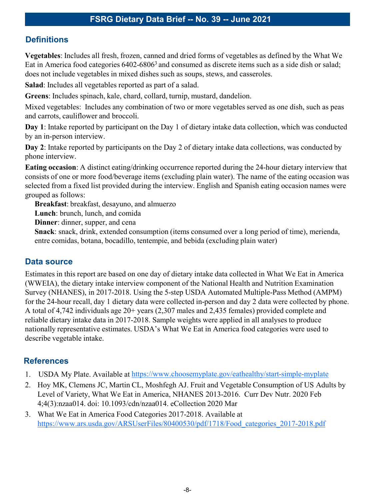## **Definitions**

**Vegetables**: Includes all fresh, frozen, canned and dried forms of vegetables as defined by the What We Eat in America food categories 6402-6806<sup>3</sup> and consumed as discrete items such as a side dish or salad; does not include vegetables in mixed dishes such as soups, stews, and casseroles.

**Salad**: Includes all vegetables reported as part of a salad.

**Greens**: Includes spinach, kale, chard, collard, turnip, mustard, dandelion.

Mixed vegetables: Includes any combination of two or more vegetables served as one dish, such as peas and carrots, cauliflower and broccoli.

**Day 1**: Intake reported by participant on the Day 1 of dietary intake data collection, which was conducted by an in-person interview.

**Day 2**: Intake reported by participants on the Day 2 of dietary intake data collections, was conducted by phone interview.

**Eating occasion**: A distinct eating/drinking occurrence reported during the 24-hour dietary interview that consists of one or more food/beverage items (excluding plain water). The name of the eating occasion was selected from a fixed list provided during the interview. English and Spanish eating occasion names were grouped as follows:

**Breakfast**: breakfast, desayuno, and almuerzo

**Lunch**: brunch, lunch, and comida

**Dinner**: dinner, supper, and cena

**Snack**: snack, drink, extended consumption (items consumed over a long period of time), merienda, entre comidas, botana, bocadillo, tentempie, and bebida (excluding plain water)

### **Data source**

Estimates in this report are based on one day of dietary intake data collected in What We Eat in America (WWEIA), the dietary intake interview component of the National Health and Nutrition Examination Survey (NHANES), in 2017-2018. Using the 5-step USDA Automated Multiple-Pass Method (AMPM) for the 24-hour recall, day 1 dietary data were collected in-person and day 2 data were collected by phone. A total of 4,742 individuals age 20+ years (2,307 males and 2,435 females) provided complete and reliable dietary intake data in 2017-2018. Sample weights were applied in all analyses to produce nationally representative estimates. USDA's What We Eat in America food categories were used to describe vegetable intake.

### **References**

- 1. USDA My Plate. Available at<https://www.choosemyplate.gov/eathealthy/start-simple-myplate>
- 2. Hoy MK, Clemens JC, Martin CL, Moshfegh AJ. Fruit and Vegetable Consumption of US Adults by Level of Variety, What We Eat in America, NHANES 2013-2016. Curr Dev Nutr. 2020 Feb 4;4(3):nzaa014. doi: 10.1093/cdn/nzaa014. eCollection 2020 Mar
- 3. What We Eat in America Food Categories 2017-2018. Available at [https://www.ars.usda.gov/ARSUserFiles/80400530/pdf/1718/Food\\_categories\\_2017-2018.pdf](https://www.ars.usda.gov/ARSUserFiles/80400530/pdf/1718/Food_categories_2017-2018.pdf)